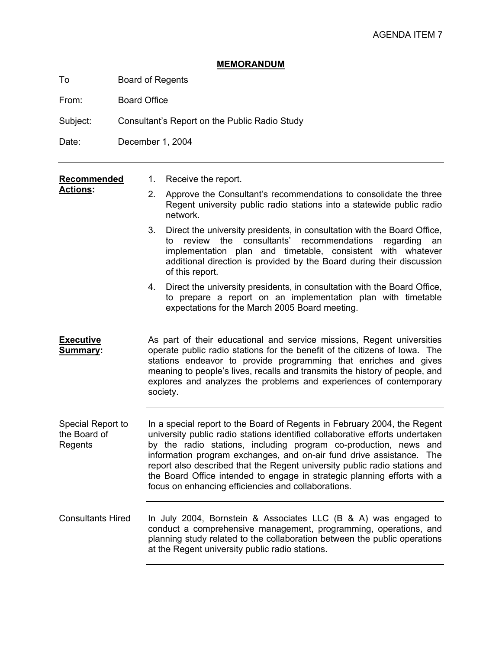## **MEMORANDUM**

To Board of Regents

From: Board Office

Subject: Consultant's Report on the Public Radio Study

Date: December 1, 2004

## **Recommended**  1. Receive the report.

**Actions:** 

- 
- 2. Approve the Consultant's recommendations to consolidate the three Regent university public radio stations into a statewide public radio network.
- 3. Direct the university presidents, in consultation with the Board Office, to review the consultants' recommendations regarding an implementation plan and timetable, consistent with whatever additional direction is provided by the Board during their discussion of this report.
- 4. Direct the university presidents, in consultation with the Board Office, to prepare a report on an implementation plan with timetable expectations for the March 2005 Board meeting.
- **Executive Summary:** As part of their educational and service missions, Regent universities operate public radio stations for the benefit of the citizens of Iowa. The stations endeavor to provide programming that enriches and gives meaning to people's lives, recalls and transmits the history of people, and explores and analyzes the problems and experiences of contemporary society.
- Special Report to the Board of Regents In a special report to the Board of Regents in February 2004, the Regent university public radio stations identified collaborative efforts undertaken by the radio stations, including program co-production, news and information program exchanges, and on-air fund drive assistance. The report also described that the Regent university public radio stations and the Board Office intended to engage in strategic planning efforts with a focus on enhancing efficiencies and collaborations.
- Consultants Hired In July 2004, Bornstein & Associates LLC (B & A) was engaged to conduct a comprehensive management, programming, operations, and planning study related to the collaboration between the public operations at the Regent university public radio stations.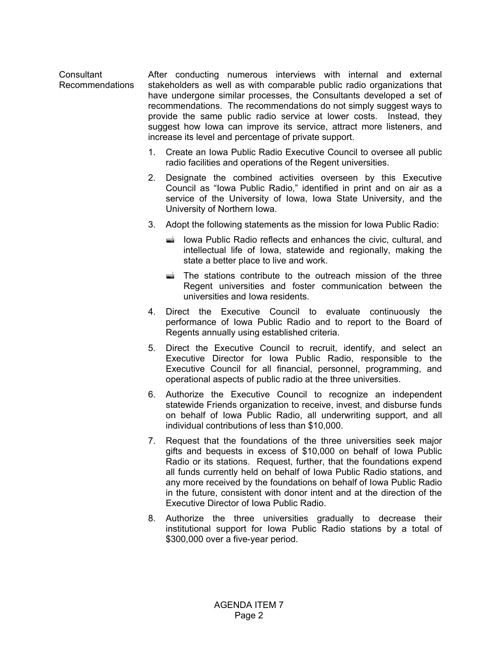**Consultant** Recommendations After conducting numerous interviews with internal and external stakeholders as well as with comparable public radio organizations that have undergone similar processes, the Consultants developed a set of recommendations. The recommendations do not simply suggest ways to provide the same public radio service at lower costs. Instead, they suggest how Iowa can improve its service, attract more listeners, and increase its level and percentage of private support.

- 1. Create an Iowa Public Radio Executive Council to oversee all public radio facilities and operations of the Regent universities.
- 2. Designate the combined activities overseen by this Executive Council as "Iowa Public Radio," identified in print and on air as a service of the University of Iowa, Iowa State University, and the University of Northern Iowa.
- 3. Adopt the following statements as the mission for Iowa Public Radio:
	- Iowa Public Radio reflects and enhances the civic, cultural, and intellectual life of Iowa, statewide and regionally, making the state a better place to live and work.
	- $\vec{r}$  The stations contribute to the outreach mission of the three Regent universities and foster communication between the universities and Iowa residents.
- 4. Direct the Executive Council to evaluate continuously the performance of Iowa Public Radio and to report to the Board of Regents annually using established criteria.
- 5. Direct the Executive Council to recruit, identify, and select an Executive Director for Iowa Public Radio, responsible to the Executive Council for all financial, personnel, programming, and operational aspects of public radio at the three universities.
- 6. Authorize the Executive Council to recognize an independent statewide Friends organization to receive, invest, and disburse funds on behalf of Iowa Public Radio, all underwriting support, and all individual contributions of less than \$10,000.
- 7. Request that the foundations of the three universities seek major gifts and bequests in excess of \$10,000 on behalf of Iowa Public Radio or its stations. Request, further, that the foundations expend all funds currently held on behalf of Iowa Public Radio stations, and any more received by the foundations on behalf of Iowa Public Radio in the future, consistent with donor intent and at the direction of the Executive Director of Iowa Public Radio.
- 8. Authorize the three universities gradually to decrease their institutional support for Iowa Public Radio stations by a total of \$300,000 over a five-year period.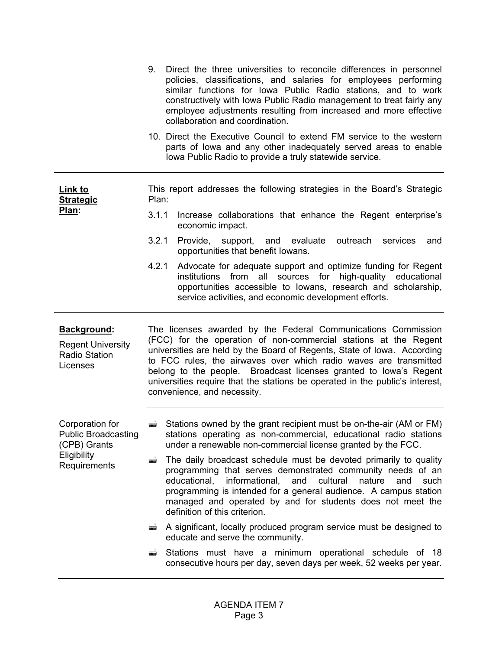|                                                                             | 9.                                                                                                                                                                                                                                                                                                                                                                                                                                                                    | Direct the three universities to reconcile differences in personnel<br>policies, classifications, and salaries for employees performing<br>similar functions for Iowa Public Radio stations, and to work<br>constructively with Iowa Public Radio management to treat fairly any<br>employee adjustments resulting from increased and more effective<br>collaboration and coordination. |
|-----------------------------------------------------------------------------|-----------------------------------------------------------------------------------------------------------------------------------------------------------------------------------------------------------------------------------------------------------------------------------------------------------------------------------------------------------------------------------------------------------------------------------------------------------------------|-----------------------------------------------------------------------------------------------------------------------------------------------------------------------------------------------------------------------------------------------------------------------------------------------------------------------------------------------------------------------------------------|
|                                                                             |                                                                                                                                                                                                                                                                                                                                                                                                                                                                       | 10. Direct the Executive Council to extend FM service to the western<br>parts of lowa and any other inadequately served areas to enable<br>lowa Public Radio to provide a truly statewide service.                                                                                                                                                                                      |
| <u>Link to</u><br><b>Strategic</b><br><u>Plan:</u>                          | Plan:                                                                                                                                                                                                                                                                                                                                                                                                                                                                 | This report addresses the following strategies in the Board's Strategic                                                                                                                                                                                                                                                                                                                 |
|                                                                             | 3.1.1                                                                                                                                                                                                                                                                                                                                                                                                                                                                 | Increase collaborations that enhance the Regent enterprise's<br>economic impact.                                                                                                                                                                                                                                                                                                        |
|                                                                             | 3.2.1                                                                                                                                                                                                                                                                                                                                                                                                                                                                 | Provide, support, and evaluate<br>outreach<br>services<br>and<br>opportunities that benefit lowans.                                                                                                                                                                                                                                                                                     |
|                                                                             | 4.2.1                                                                                                                                                                                                                                                                                                                                                                                                                                                                 | Advocate for adequate support and optimize funding for Regent<br>from all sources<br>high-quality educational<br>institutions<br>for<br>opportunities accessible to lowans, research and scholarship,<br>service activities, and economic development efforts.                                                                                                                          |
|                                                                             | The licenses awarded by the Federal Communications Commission<br>(FCC) for the operation of non-commercial stations at the Regent<br>universities are held by the Board of Regents, State of Iowa. According<br>to FCC rules, the airwaves over which radio waves are transmitted<br>belong to the people. Broadcast licenses granted to lowa's Regent<br>universities require that the stations be operated in the public's interest,<br>convenience, and necessity. |                                                                                                                                                                                                                                                                                                                                                                                         |
| Background:<br><b>Regent University</b><br><b>Radio Station</b><br>Licenses |                                                                                                                                                                                                                                                                                                                                                                                                                                                                       |                                                                                                                                                                                                                                                                                                                                                                                         |
| Corporation for<br><b>Public Broadcasting</b><br>(CPB) Grants               |                                                                                                                                                                                                                                                                                                                                                                                                                                                                       | Stations owned by the grant recipient must be on-the-air (AM or FM)<br>stations operating as non-commercial, educational radio stations<br>under a renewable non-commercial license granted by the FCC.                                                                                                                                                                                 |
| Eligibility<br>Requirements                                                 | æÎ.                                                                                                                                                                                                                                                                                                                                                                                                                                                                   | The daily broadcast schedule must be devoted primarily to quality<br>programming that serves demonstrated community needs of an<br>educational,<br>informational,<br>and<br>cultural<br>nature<br>and<br>such<br>programming is intended for a general audience. A campus station<br>managed and operated by and for students does not meet the<br>definition of this criterion.        |
|                                                                             | æ                                                                                                                                                                                                                                                                                                                                                                                                                                                                     | A significant, locally produced program service must be designed to<br>educate and serve the community.                                                                                                                                                                                                                                                                                 |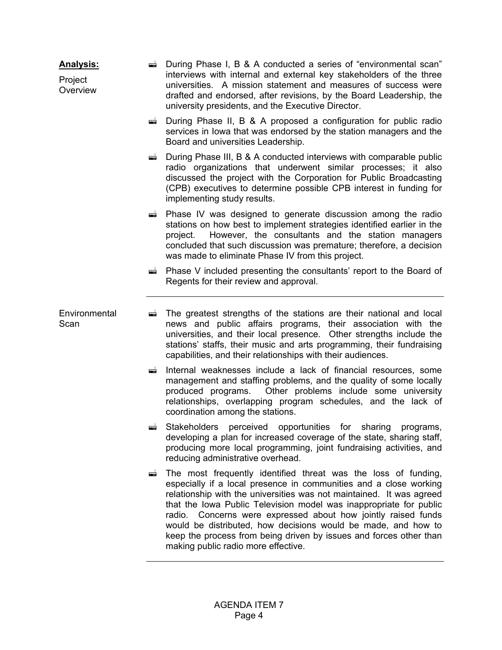| <u>Analysis:</u><br>Project<br>Overview |          | $\equiv$ During Phase I, B & A conducted a series of "environmental scan"<br>interviews with internal and external key stakeholders of the three<br>universities. A mission statement and measures of success were<br>drafted and endorsed, after revisions, by the Board Leadership, the<br>university presidents, and the Executive Director.                                                                                                                                                                                  |
|-----------------------------------------|----------|----------------------------------------------------------------------------------------------------------------------------------------------------------------------------------------------------------------------------------------------------------------------------------------------------------------------------------------------------------------------------------------------------------------------------------------------------------------------------------------------------------------------------------|
|                                         | æ        | During Phase II, B & A proposed a configuration for public radio<br>services in lowa that was endorsed by the station managers and the<br>Board and universities Leadership.                                                                                                                                                                                                                                                                                                                                                     |
|                                         | æÌ.      | During Phase III, B & A conducted interviews with comparable public<br>radio organizations that underwent similar processes; it also<br>discussed the project with the Corporation for Public Broadcasting<br>(CPB) executives to determine possible CPB interest in funding for<br>implementing study results.                                                                                                                                                                                                                  |
|                                         |          | $\Rightarrow$ Phase IV was designed to generate discussion among the radio<br>stations on how best to implement strategies identified earlier in the<br>However, the consultants and the station managers<br>project.<br>concluded that such discussion was premature; therefore, a decision<br>was made to eliminate Phase IV from this project.                                                                                                                                                                                |
|                                         |          | ■ Phase V included presenting the consultants' report to the Board of<br>Regents for their review and approval.                                                                                                                                                                                                                                                                                                                                                                                                                  |
| Environmental<br>Scan                   | $\equiv$ | The greatest strengths of the stations are their national and local<br>news and public affairs programs, their association with the<br>universities, and their local presence. Other strengths include the<br>stations' staffs, their music and arts programming, their fundraising<br>capabilities, and their relationships with their audiences.                                                                                                                                                                               |
|                                         | ▅        | Internal weaknesses include a lack of financial resources, some<br>management and staffing problems, and the quality of some locally<br>produced programs. Other problems include some university<br>relationships, overlapping program schedules, and the lack of<br>coordination among the stations.                                                                                                                                                                                                                           |
|                                         |          | Stakeholders perceived opportunities for sharing<br>programs,<br>developing a plan for increased coverage of the state, sharing staff,<br>producing more local programming, joint fundraising activities, and<br>reducing administrative overhead.                                                                                                                                                                                                                                                                               |
|                                         | ▅        | The most frequently identified threat was the loss of funding,<br>especially if a local presence in communities and a close working<br>relationship with the universities was not maintained. It was agreed<br>that the Iowa Public Television model was inappropriate for public<br>radio. Concerns were expressed about how jointly raised funds<br>would be distributed, how decisions would be made, and how to<br>keep the process from being driven by issues and forces other than<br>making public radio more effective. |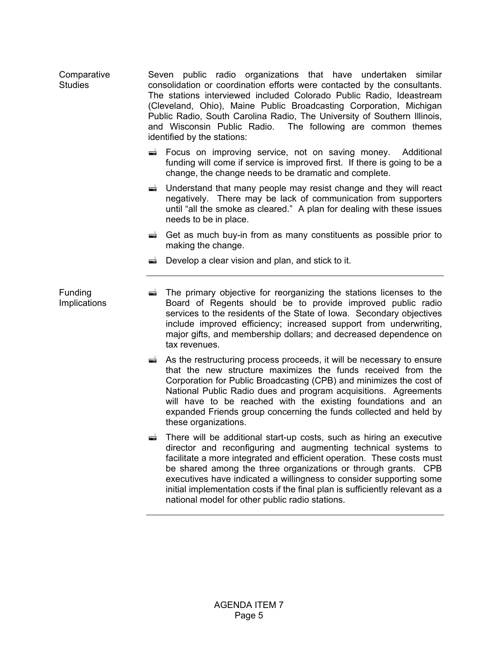| Comparative    | Seven public radio organizations that have undertaken similar                              |
|----------------|--------------------------------------------------------------------------------------------|
| <b>Studies</b> | consolidation or coordination efforts were contacted by the consultants.                   |
|                | The stations interviewed included Colorado Public Radio, Ideastream                        |
|                | (Cleveland, Ohio), Maine Public Broadcasting Corporation, Michigan                         |
|                | Public Radio, South Carolina Radio, The University of Southern Illinois,                   |
|                | and Wisconsin Public Radio. The following are common themes<br>identified by the stations: |

- **Execus on improving service, not on saving money.** Additional funding will come if service is improved first. If there is going to be a change, the change needs to be dramatic and complete.
- $\triangleq$  Understand that many people may resist change and they will react negatively. There may be lack of communication from supporters until "all the smoke as cleared." A plan for dealing with these issues needs to be in place.
- $\vec{a}$  Get as much buy-in from as many constituents as possible prior to making the change.
- $\vec{a}$  Develop a clear vision and plan, and stick to it.

Funding Implications

- $\equiv$  The primary objective for reorganizing the stations licenses to the Board of Regents should be to provide improved public radio services to the residents of the State of Iowa. Secondary objectives include improved efficiency; increased support from underwriting, major gifts, and membership dollars; and decreased dependence on tax revenues.
	- $\triangleq$  As the restructuring process proceeds, it will be necessary to ensure that the new structure maximizes the funds received from the Corporation for Public Broadcasting (CPB) and minimizes the cost of National Public Radio dues and program acquisitions. Agreements will have to be reached with the existing foundations and an expanded Friends group concerning the funds collected and held by these organizations.
	- $\triangleq$  There will be additional start-up costs, such as hiring an executive director and reconfiguring and augmenting technical systems to facilitate a more integrated and efficient operation. These costs must be shared among the three organizations or through grants. CPB executives have indicated a willingness to consider supporting some initial implementation costs if the final plan is sufficiently relevant as a national model for other public radio stations.